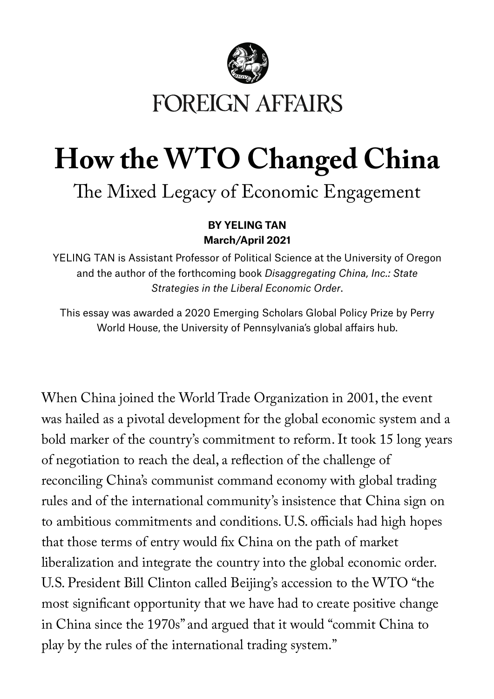

# **How the WTO Changed China**

## The Mixed Legacy of Economic Engagement

BY YELING TAN March/April 2021

YELING TAN is Assistant Professor of Political Science at the University of Oregon and the author of the forthcoming book Disaggregating China, Inc.: State Strategies in the Liberal Economic Order.

This essay was awarded a 2020 Emerging Scholars Global Policy Prize by Perry World House, the University of Pennsylvania's global affairs hub.

When China joined the World Trade Organization in 2001, the event was hailed as a pivotal development for the global economic system and a bold marker of the country s commitment to reform.It took 15 long years ' of negotiation to reach the deal, a reflection of the challenge of reconciling China s communist command economy with global trading ' rules and of the international community s insistence that China sign on ' to ambitious commitments and conditions. U.S. officials had high hopes that those terms of entry would fix China on the path of market liberalization and integrate the country into the global economic order. U.S. President Bill Clinton called Beijing s accession to the WTO "the ' most significant opportunity that we have had to create positive change in China since the 1970s " and argued that it would " commit China to play by the rules of the international trading system."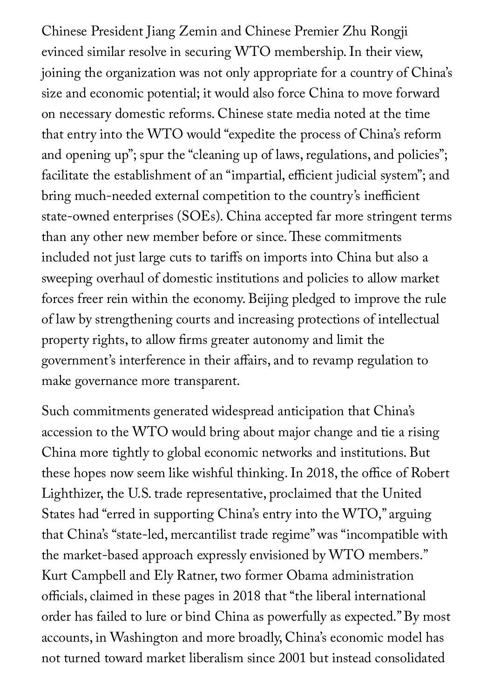Chinese President Jiang Zemin and Chinese Premier Zhu Rongji evinced similar resolve in securing WTO membership.In their view, joining the organization was not only appropriate for a country of China s ' size and economic potential; it would also force China to move forward on necessary domestic reforms. Chinese state media noted at the time that entry into the WTO would " expedite the process of China s reform ' and opening up"; spur the "cleaning up of laws, regulations, and policies"; facilitate the establishment of an "impartial, efficient judicial system"; and bring much-needed external competition to the country's inefficient ' state-owned enterprises (SOEs). China accepted far more stringent terms than any other new member before or since. These commitments included not just large cuts to tariffs on imports into China but also a sweeping overhaul of domestic institutions and policies to allow market forces freer rein within the economy. Beijing pledged to improve the rule of law by strengthening courts and increasing protections of intellectual property rights, to allow firms greater autonomy and limit the government's interference in their affairs, and to revamp regulation to make governance more transparent.

Such commitments generated widespread anticipation that China s ' accession to the WTO would bring about major change and tie a rising China more tightly to global economic networks and institutions. But these hopes now seem like wishful thinking. In 2018, the office of Robert Lighthizer, the U.S. trade representative, proclaimed that the United States had " erred in supporting China s entry into the WTO, " arguing ' that China s " state-led, mercantilist trade regime " was "incompatible with ' the market-based approach expressly envisioned by WTO members." Kurt Campbell and Ely Ratner, two former Obama administration officials, claimed in these pages in 2018 that "the liberal international order has failed to lure or bind China as powerfully as expected."By most accounts, in Washington and more broadly, China s economic model has ' not turned toward market liberalism since 2001 but instead consolidated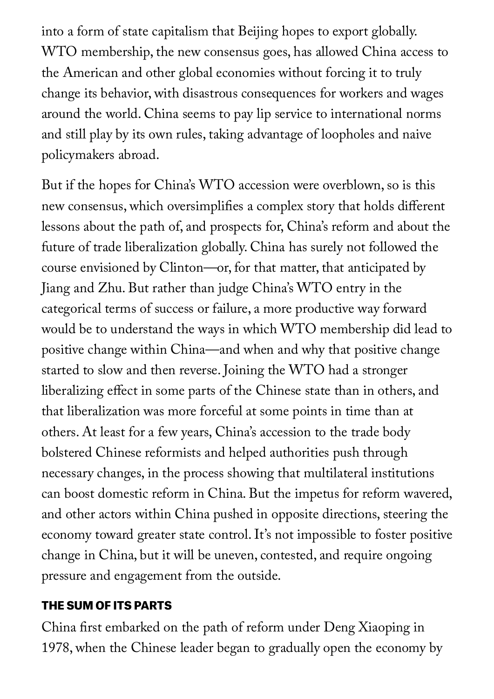into a form of state capitalism that Beijing hopes to export globally. WTO membership, the new consensus goes, has allowed China access to the American and other global economies without forcing it to truly change its behavior, with disastrous consequences for workers and wages around the world. China seems to pay lip service to international norms and still play by its own rules, taking advantage of loopholes and naive policymakers abroad.

But if the hopes for China s WTO accession were overblown, so is this ' new consensus, which oversimplifies a complex story that holds different lessons about the path of, and prospects for, China s reform and about the ' future of trade liberalization globally. China has surely not followed the course envisioned by Clinton—or, for that matter, that anticipated by Jiang and Zhu. But rather than judge China s WTO entry in the ' categorical terms of success or failure, a more productive way forward would be to understand the ways in which WTO membership did lead to positive change within China—and when and why that positive change started to slow and then reverse. Joining the WTO had a stronger liberalizing effect in some parts of the Chinese state than in others, and that liberalization was more forceful at some points in time than at others. At least for a few years, China s accession to the trade body ' bolstered Chinese reformists and helped authorities push through necessary changes, in the process showing that multilateral institutions can boost domestic reform in China. But the impetus for reform wavered, and other actors within China pushed in opposite directions, steering the economy toward greater state control.It' s not impossible to foster positive change in China, but it will be uneven, contested, and require ongoing pressure and engagement from the outside.

#### THE SUM OF ITS PARTS

China first embarked on the path of reform under Deng Xiaoping in 1978, when the Chinese leader began to gradually open the economy by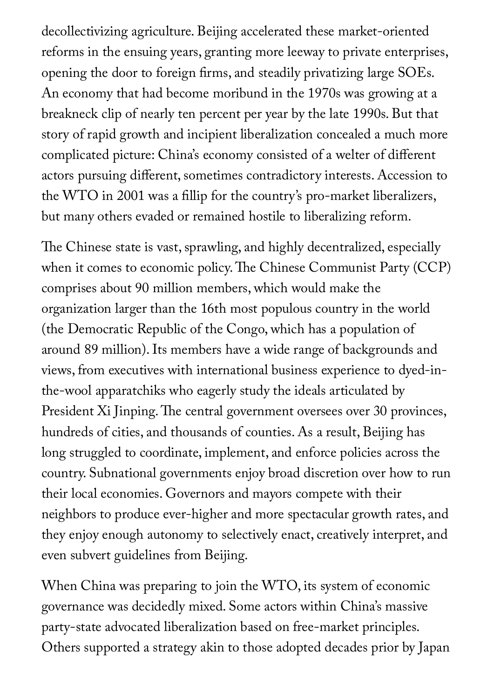decollectivizing agriculture. Beijing accelerated these market-oriented reforms in the ensuing years, granting more leeway to private enterprises, opening the door to foreign firms, and steadily privatizing large SOEs. An economy that had become moribund in the 1970s was growing at a breakneck clip of nearly ten percent per year by the late 1990s. But that story of rapid growth and incipient liberalization concealed a much more complicated picture: China's economy consisted of a welter of different ' actors pursuing different, sometimes contradictory interests. Accession to the WTO in 2001 was a fillip for the country's pro-market liberalizers, ' but many others evaded or remained hostile to liberalizing reform.

The Chinese state is vast, sprawling, and highly decentralized, especially when it comes to economic policy. The Chinese Communist Party (CCP) comprises about 90 million members, which would make the organization larger than the 16th most populous country in the world (the Democratic Republic of the Congo, which has a population of around 89 million).Its members have a wide range of backgrounds and views, from executives with international business experience to dyed-inthe-wool apparatchiks who eagerly study the ideals articulated by President Xi Jinping. The central government oversees over 30 provinces, hundreds of cities, and thousands of counties. As a result, Beijing has long struggled to coordinate, implement, and enforce policies across the country. Subnational governments enjoy broad discretion over how to run their local economies. Governors and mayors compete with their neighbors to produce ever-higher and more spectacular growth rates, and they enjoy enough autonomy to selectively enact, creatively interpret, and even subvert guidelines from Beijing.

When China was preparing to join the WTO, its system of economic governance was decidedly mixed. Some actors within China s massive ' party-state advocated liberalization based on free-market principles. Others supported a strategy akin to those adopted decades prior by Japan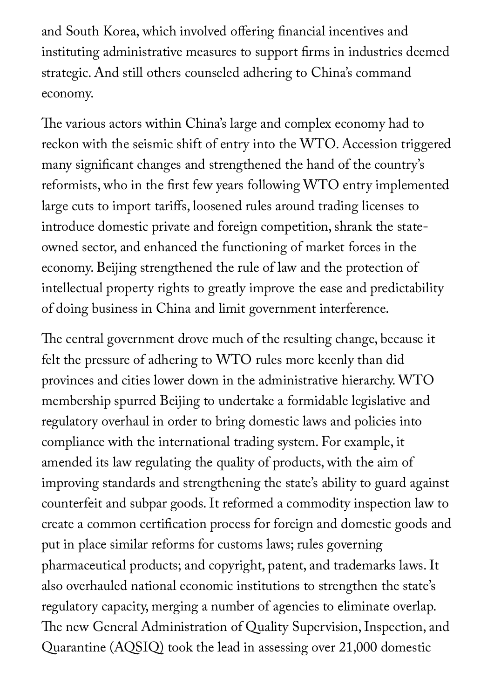and South Korea, which involved offering financial incentives and instituting administrative measures to support firms in industries deemed strategic. And still others counseled adhering to China s command ' economy.

The various actors within China's large and complex economy had to ' reckon with the seismic shift of entry into the WTO. Accession triggered many significant changes and strengthened the hand of the country's ' reformists, who in the first few years following WTO entry implemented large cuts to import tariffs, loosened rules around trading licenses to introduce domestic private and foreign competition, shrank the stateowned sector, and enhanced the functioning of market forces in the economy. Beijing strengthened the rule of law and the protection of intellectual property rights to greatly improve the ease and predictability of doing business in China and limit government interference.

The central government drove much of the resulting change, because it felt the pressure of adhering to WTO rules more keenly than did provinces and cities lower down in the administrative hierarchy.WTO membership spurred Beijing to undertake a formidable legislative and regulatory overhaul in order to bring domestic laws and policies into compliance with the international trading system. For example, it amended its law regulating the quality of products, with the aim of improving standards and strengthening the state s ability to guard against ' counterfeit and subpar goods.It reformed a commodity inspection law to create a common certification process for foreign and domestic goods and put in place similar reforms for customs laws; rules governing pharmaceutical products; and copyright, patent, and trademarks laws.It also overhauled national economic institutions to strengthen the state s ' regulatory capacity, merging a number of agencies to eliminate overlap. The new General Administration of Quality Supervision, Inspection, and Quarantine (AQSIQ) took the lead in assessing over 21,000 domestic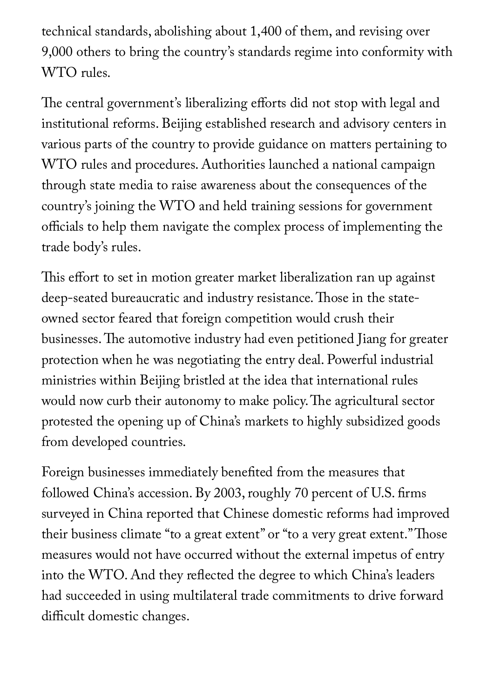technical standards, abolishing about 1,400 of them, and revising over 9,000 others to bring the country s standards regime into conformity with ' WTO rules.

The central government's liberalizing efforts did not stop with legal and institutional reforms. Beijing established research and advisory centers in various parts of the country to provide guidance on matters pertaining to WTO rules and procedures. Authorities launched a national campaign through state media to raise awareness about the consequences of the country s joining the WTO and held training sessions for government  $\overline{\phantom{a}}$ officials to help them navigate the complex process of implementing the trade body s rules. '

This effort to set in motion greater market liberalization ran up against deep-seated bureaucratic and industry resistance. Those in the stateowned sector feared that foreign competition would crush their businesses. The automotive industry had even petitioned Jiang for greater protection when he was negotiating the entry deal. Powerful industrial ministries within Beijing bristled at the idea that international rules would now curb their autonomy to make policy. The agricultural sector protested the opening up of China s markets to highly subsidized goods ' from developed countries.

Foreign businesses immediately benefited from the measures that followed China's accession. By 2003, roughly 70 percent of U.S. firms ' surveyed in China reported that Chinese domestic reforms had improved their business climate "to a great extent" or "to a very great extent." Ihose measures would not have occurred without the external impetus of entry into the WTO. And they reflected the degree to which China's leaders ' had succeeded in using multilateral trade commitments to drive forward difficult domestic changes.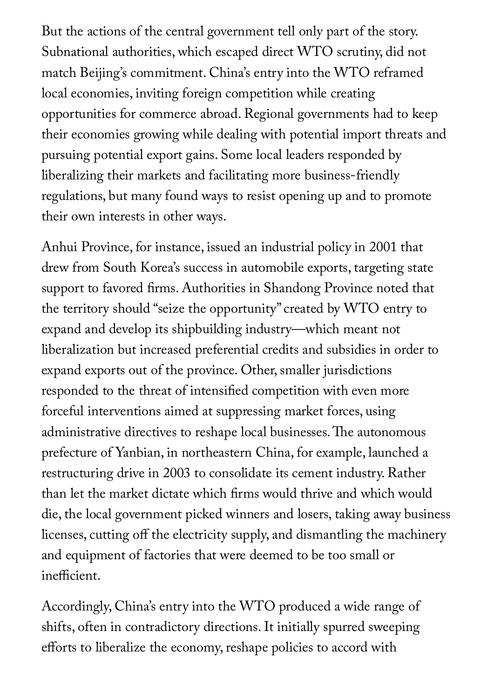But the actions of the central government tell only part of the story. Subnational authorities, which escaped direct WTO scrutiny, did not match Beijing s commitment. China s entry into the WTO reframed  $\overline{\phantom{a}}$ ' local economies, inviting foreign competition while creating opportunities for commerce abroad. Regional governments had to keep their economies growing while dealing with potential import threats and pursuing potential export gains. Some local leaders responded by liberalizing their markets and facilitating more business-friendly regulations, but many found ways to resist opening up and to promote their own interests in other ways.

Anhui Province, for instance, issued an industrial policy in 2001 that drew from South Korea s success in automobile exports, targeting state ' support to favored firms. Authorities in Shandong Province noted that the territory should " seize the opportunity " created by WTO entry to expand and develop its shipbuilding industry—which meant not liberalization but increased preferential credits and subsidies in order to expand exports out of the province. Other, smaller jurisdictions responded to the threat of intensified competition with even more forceful interventions aimed at suppressing market forces, using administrative directives to reshape local businesses. The autonomous prefecture of Yanbian, in northeastern China, for example, launched a restructuring drive in 2003 to consolidate its cement industry. Rather than let the market dictate which firms would thrive and which would die, the local government picked winners and losers, taking away business licenses, cutting off the electricity supply, and dismantling the machinery and equipment of factories that were deemed to be too small or inefficient.

Accordingly, China s entry into the WTO produced a wide range of ' shifts, often in contradictory directions.It initially spurred sweeping efforts to liberalize the economy, reshape policies to accord with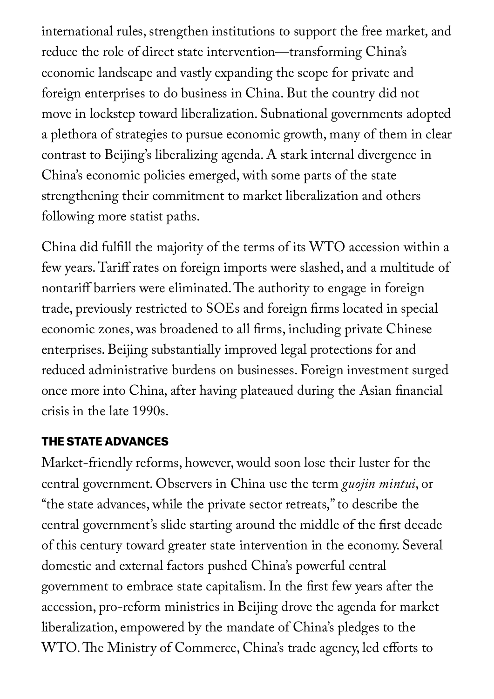international rules, strengthen institutions to support the free market, and reduce the role of direct state intervention—transforming China s ' economic landscape and vastly expanding the scope for private and foreign enterprises to do business in China. But the country did not move in lockstep toward liberalization. Subnational governments adopted a plethora of strategies to pursue economic growth, many of them in clear contrast to Beijing s liberalizing agenda. A stark internal divergence in ' China s economic policies emerged, with some parts of the state ' strengthening their commitment to market liberalization and others following more statist paths.

China did fulfill the majority of the terms of its WTO accession within a few years. Tariff rates on foreign imports were slashed, and a multitude of nontariff barriers were eliminated. The authority to engage in foreign trade, previously restricted to SOEs and foreign firms located in special economic zones, was broadened to all firms, including private Chinese enterprises. Beijing substantially improved legal protections for and reduced administrative burdens on businesses. Foreign investment surged once more into China, after having plateaued during the Asian financial crisis in the late 1990s.

### THE STATE ADVANCES

Market-friendly reforms, however, would soon lose their luster for the central government. Observers in China use the term *guojin mintui*, or "the state advances, while the private sector retreats, "to describe the central government's slide starting around the middle of the first decade of this century toward greater state intervention in the economy. Several domestic and external factors pushed China s powerful central ' government to embrace state capitalism. In the first few years after the accession, pro-reform ministries in Beijing drove the agenda for market liberalization, empowered by the mandate of China s pledges to the ' WTO. The Ministry of Commerce, China's trade agency, led efforts to '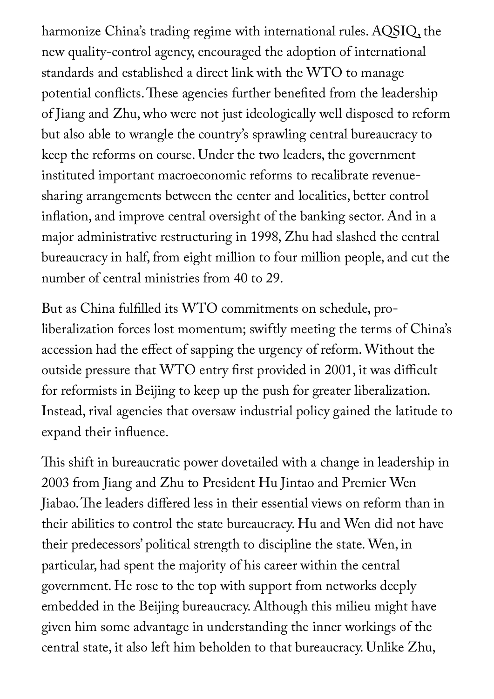harmonize China's trading regime with international rules. AQSIQ, the ' new quality-control agency, encouraged the adoption of international standards and established a direct link with the WTO to manage potential conflicts. These agencies further benefited from the leadership of Jiang and Zhu, who were not just ideologically well disposed to reform but also able to wrangle the country s sprawling central bureaucracy to  $\overline{\phantom{a}}$ keep the reforms on course. Under the two leaders, the government instituted important macroeconomic reforms to recalibrate revenuesharing arrangements between the center and localities, better control inflation, and improve central oversight of the banking sector. And in a major administrative restructuring in 1998, Zhu had slashed the central bureaucracy in half, from eight million to four million people, and cut the number of central ministries from 40 to 29.

But as China fulfilled its WTO commitments on schedule, proliberalization forces lost momentum; swiftly meeting the terms of China s ' accession had the effect of sapping the urgency of reform. Without the outside pressure that WTO entry first provided in 2001, it was difficult for reformists in Beijing to keep up the push for greater liberalization. Instead, rival agencies that oversaw industrial policy gained the latitude to expand their influence.

This shift in bureaucratic power dovetailed with a change in leadership in 2003 from Jiang and Zhu to President Hu Jintao and Premier Wen Jiabao. The leaders differed less in their essential views on reform than in their abilities to control the state bureaucracy. Hu and Wen did not have their predecessors political strength to discipline the state.Wen, in ' particular, had spent the majority of his career within the central government. He rose to the top with support from networks deeply embedded in the Beijing bureaucracy. Although this milieu might have given him some advantage in understanding the inner workings of the central state, it also left him beholden to that bureaucracy. Unlike Zhu,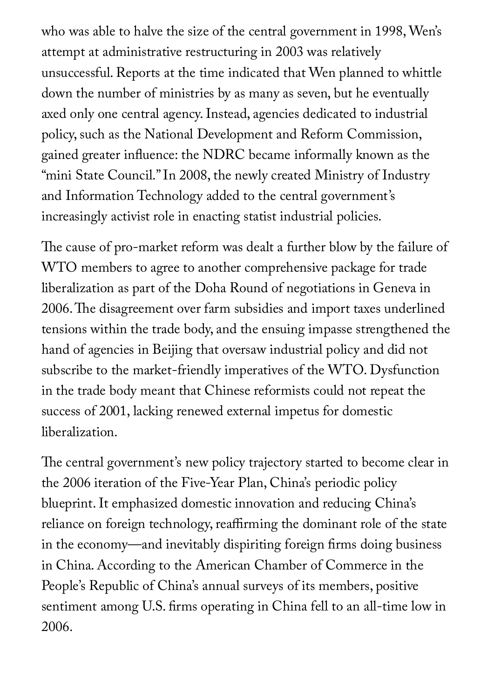who was able to halve the size of the central government in 1998, Wen's (<br>| attempt at administrative restructuring in 2003 was relatively unsuccessful. Reports at the time indicated that Wen planned to whittle down the number of ministries by as many as seven, but he eventually axed only one central agency.Instead, agencies dedicated to industrial policy, such as the National Development and Reform Commission, gained greater influence: the NDRC became informally known as the " mini State Council."In 2008, the newly created Ministry of Industry and Information Technology added to the central government' s increasingly activist role in enacting statist industrial policies.

The cause of pro-market reform was dealt a further blow by the failure of WTO members to agree to another comprehensive package for trade liberalization as part of the Doha Round of negotiations in Geneva in 2006. The disagreement over farm subsidies and import taxes underlined tensions within the trade body, and the ensuing impasse strengthened the hand of agencies in Beijing that oversaw industrial policy and did not subscribe to the market-friendly imperatives of the WTO. Dysfunction in the trade body meant that Chinese reformists could not repeat the success of 2001, lacking renewed external impetus for domestic liberalization.

The central government's new policy trajectory started to become clear in the 2006 iteration of the Five-Year Plan, China s periodic policy ' blueprint.It emphasized domestic innovation and reducing China s ' reliance on foreign technology, reaffirming the dominant role of the state in the economy—and inevitably dispiriting foreign firms doing business in China. According to the American Chamber of Commerce in the People s Republic of China s annual surveys of its members, positive  $\frac{1}{2}$ ' sentiment among U.S. firms operating in China fell to an all-time low in 2006.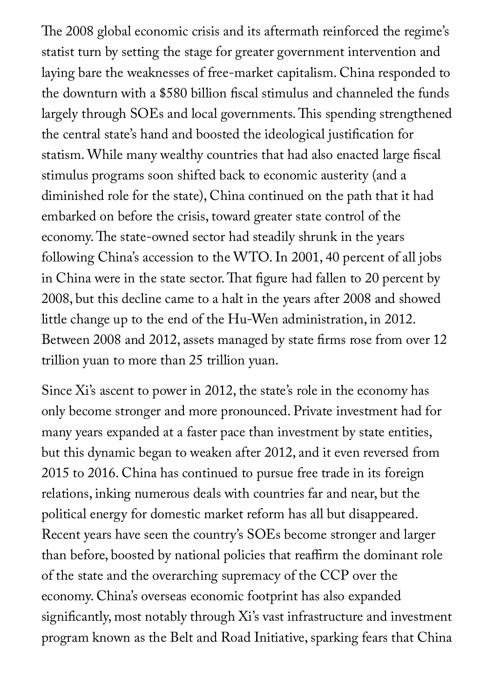The 2008 global economic crisis and its aftermath reinforced the regime's ' statist turn by setting the stage for greater government intervention and laying bare the weaknesses of free-market capitalism. China responded to the downturn with a \$580 billion fiscal stimulus and channeled the funds largely through SOEs and local governments. This spending strengthened the central state's hand and boosted the ideological justification for ' statism. While many wealthy countries that had also enacted large fiscal stimulus programs soon shifted back to economic austerity (and a diminished role for the state), China continued on the path that it had embarked on before the crisis, toward greater state control of the economy. The state-owned sector had steadily shrunk in the years following China s accession to the WTO.In 2001, 40 percent of all jobs ' in China were in the state sector. That figure had fallen to 20 percent by 2008, but this decline came to a halt in the years after 2008 and showed little change up to the end of the Hu-Wen administration, in 2012. Between 2008 and 2012, assets managed by state firms rose from over 12 trillion yuan to more than 25 trillion yuan.

Since Xi' s ascent to power in 2012, the state s role in the economy has  $\overline{\phantom{a}}$ only become stronger and more pronounced. Private investment had for many years expanded at a faster pace than investment by state entities, but this dynamic began to weaken after 2012, and it even reversed from 2015 to 2016. China has continued to pursue free trade in its foreign relations, inking numerous deals with countries far and near, but the political energy for domestic market reform has all but disappeared. Recent years have seen the country s SOEs become stronger and larger ' than before, boosted by national policies that reaffirm the dominant role of the state and the overarching supremacy of the CCP over the economy. China s overseas economic footprint has also expanded '  ${\rm significantly, most notably through Xi's vast infrastructure and investment}$ program known as the Belt and Road Initiative, sparking fears that China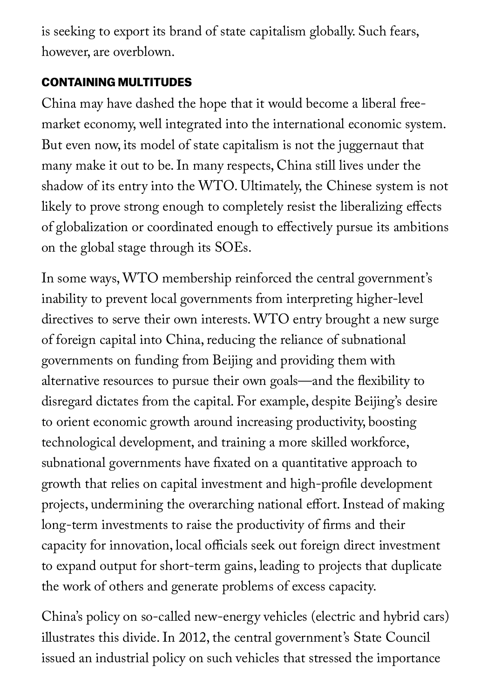is seeking to export its brand of state capitalism globally. Such fears, however, are overblown.

### CONTAINING MULTITUDES

China may have dashed the hope that it would become a liberal freemarket economy, well integrated into the international economic system. But even now, its model of state capitalism is not the juggernaut that many make it out to be.In many respects, China still lives under the shadow of its entry into the WTO. Ultimately, the Chinese system is not likely to prove strong enough to completely resist the liberalizing effects of globalization or coordinated enough to effectively pursue its ambitions on the global stage through its SOEs.

In some ways,WTO membership reinforced the central government' s inability to prevent local governments from interpreting higher-level directives to serve their own interests.WTO entry brought a new surge of foreign capital into China, reducing the reliance of subnational governments on funding from Beijing and providing them with alternative resources to pursue their own goals—and the flexibility to disregard dictates from the capital. For example, despite Beijing s desire ' to orient economic growth around increasing productivity, boosting technological development, and training a more skilled workforce, subnational governments have fixated on a quantitative approach to growth that relies on capital investment and high-profile development projects, undermining the overarching national effort. Instead of making long-term investments to raise the productivity of firms and their capacity for innovation, local officials seek out foreign direct investment to expand output for short-term gains, leading to projects that duplicate the work of others and generate problems of excess capacity.

China s policy on so-called new-energy vehicles (electric and hybrid cars) ' illustrates this divide.In 2012, the central government' s State Council issued an industrial policy on such vehicles that stressed the importance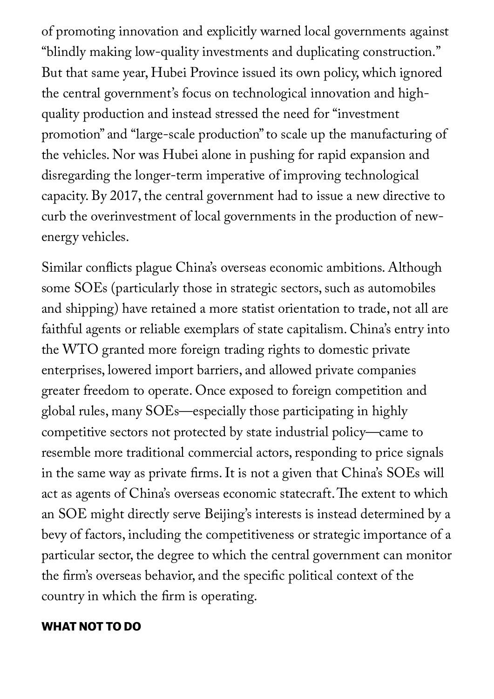of promoting innovation and explicitly warned local governments against "blindly making low-quality investments and duplicating construction." But that same year, Hubei Province issued its own policy, which ignored the central government' s focus on technological innovation and highquality production and instead stressed the need for "investment promotion" and "large-scale production" to scale up the manufacturing of the vehicles. Nor was Hubei alone in pushing for rapid expansion and disregarding the longer-term imperative of improving technological capacity. By 2017, the central government had to issue a new directive to curb the overinvestment of local governments in the production of newenergy vehicles.

Similar conflicts plague China's overseas economic ambitions. Although ' some SOEs (particularly those in strategic sectors, such as automobiles and shipping) have retained a more statist orientation to trade, not all are faithful agents or reliable exemplars of state capitalism. China s entry into ' the WTO granted more foreign trading rights to domestic private enterprises, lowered import barriers, and allowed private companies greater freedom to operate. Once exposed to foreign competition and global rules, many SOEs—especially those participating in highly competitive sectors not protected by state industrial policy—came to resemble more traditional commercial actors, responding to price signals in the same way as private firms. It is not a given that China's SOEs will ' act as agents of China's overseas economic statecraft. The extent to which ' an SOE might directly serve Beijing s interests is instead determined by a ' bevy of factors, including the competitiveness or strategic importance of a particular sector, the degree to which the central government can monitor the firm's overseas behavior, and the specific political context of the  $\frac{1}{2}$ country in which the firm is operating.

#### WHAT NOT TO DO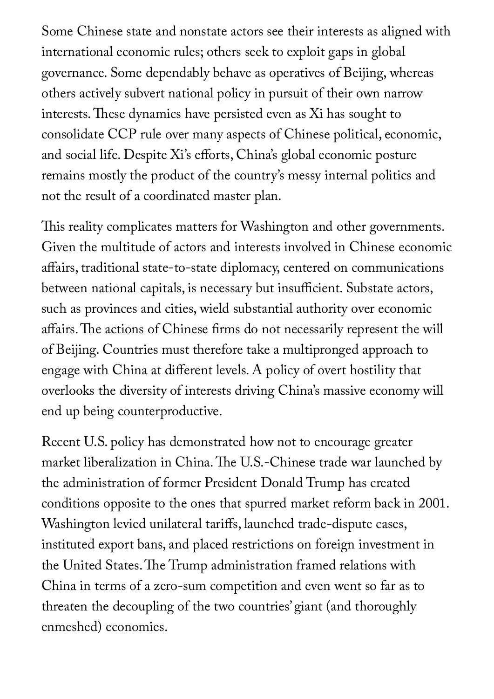Some Chinese state and nonstate actors see their interests as aligned with international economic rules; others seek to exploit gaps in global governance. Some dependably behave as operatives of Beijing, whereas others actively subvert national policy in pursuit of their own narrow interests. These dynamics have persisted even as Xi has sought to consolidate CCP rule over many aspects of Chinese political, economic, and social life. Despite Xi's efforts, China's global economic posture ' remains mostly the product of the country s messy internal politics and ' not the result of a coordinated master plan.

This reality complicates matters for Washington and other governments. Given the multitude of actors and interests involved in Chinese economic affairs, traditional state-to-state diplomacy, centered on communications between national capitals, is necessary but insufficient. Substate actors, such as provinces and cities, wield substantial authority over economic affairs. The actions of Chinese firms do not necessarily represent the will of Beijing. Countries must therefore take a multipronged approach to engage with China at different levels. A policy of overt hostility that overlooks the diversity of interests driving China s massive economy will ' end up being counterproductive.

Recent U.S. policy has demonstrated how not to encourage greater market liberalization in China. The U.S.-Chinese trade war launched by the administration of former President Donald Trump has created conditions opposite to the ones that spurred market reform back in 2001. Washington levied unilateral tariffs, launched trade-dispute cases, instituted export bans, and placed restrictions on foreign investment in the United States. The Trump administration framed relations with China in terms of a zero-sum competition and even went so far as to threaten the decoupling of the two countries giant (and thoroughly ' enmeshed) economies.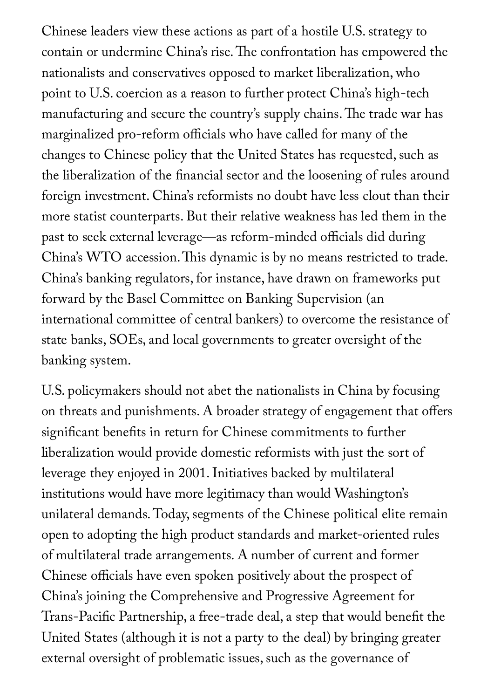Chinese leaders view these actions as part of a hostile U.S. strategy to contain or undermine China's rise. The confrontation has empowered the ' nationalists and conservatives opposed to market liberalization, who point to U.S. coercion as a reason to further protect China s high-tech ' manufacturing and secure the country's supply chains. The trade war has ' marginalized pro-reform officials who have called for many of the changes to Chinese policy that the United States has requested, such as the liberalization of the financial sector and the loosening of rules around foreign investment. China s reformists no doubt have less clout than their ' more statist counterparts. But their relative weakness has led them in the past to seek external leverage—as reform-minded officials did during China's WTO accession. This dynamic is by no means restricted to trade. ' China s banking regulators, for instance, have drawn on frameworks put ' forward by the Basel Committee on Banking Supervision (an international committee of central bankers) to overcome the resistance of state banks, SOEs, and local governments to greater oversight of the banking system.

U.S. policymakers should not abet the nationalists in China by focusing on threats and punishments. A broader strategy of engagement that offers significant benefits in return for Chinese commitments to further liberalization would provide domestic reformists with just the sort of leverage they enjoyed in 2001.Initiatives backed by multilateral institutions would have more legitimacy than would Washington s  $\frac{1}{2}$ unilateral demands.Today, segments of the Chinese political elite remain open to adopting the high product standards and market-oriented rules of multilateral trade arrangements. A number of current and former Chinese officials have even spoken positively about the prospect of China s joining the Comprehensive and Progressive Agreement for ' Trans-Pacific Partnership, a free-trade deal, a step that would benefit the United States (although it is not a party to the deal) by bringing greater external oversight of problematic issues, such as the governance of